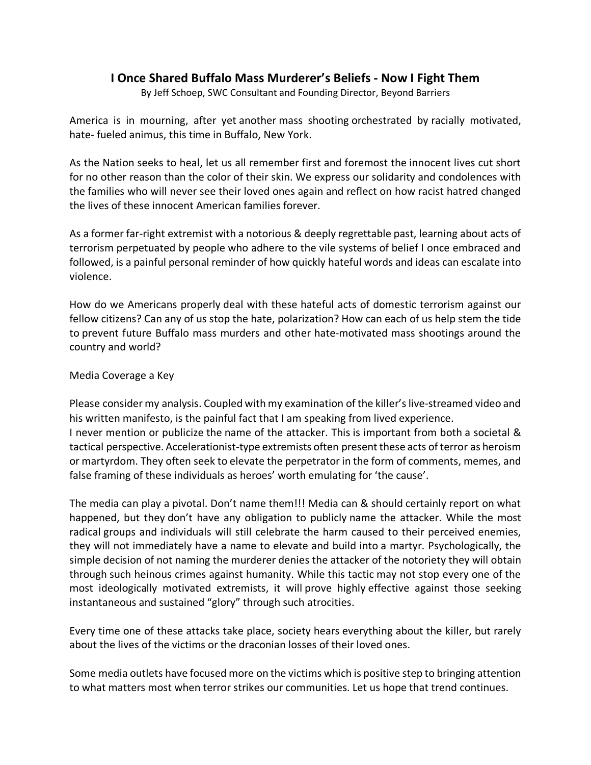## **I Once Shared Buffalo Mass Murderer's Beliefs - Now I Fight Them**

By Jeff Schoep, SWC Consultant and Founding Director, Beyond Barriers

America is in mourning, after yet another mass shooting orchestrated by racially motivated, hate- fueled animus, this time in Buffalo, New York.

As the Nation seeks to heal, let us all remember first and foremost the innocent lives cut short for no other reason than the color of their skin. We express our solidarity and condolences with the families who will never see their loved ones again and reflect on how racist hatred changed the lives of these innocent American families forever.

As a former far-right extremist with a notorious & deeply regrettable past, learning about acts of terrorism perpetuated by people who adhere to the vile systems of belief I once embraced and followed, is a painful personal reminder of how quickly hateful words and ideas can escalate into violence.

How do we Americans properly deal with these hateful acts of domestic terrorism against our fellow citizens? Can any of us stop the hate, polarization? How can each of us help stem the tide to prevent future Buffalo mass murders and other hate-motivated mass shootings around the country and world?

## Media Coverage a Key

Please consider my analysis. Coupled with my examination of the killer's live-streamed video and his written manifesto, is the painful fact that I am speaking from lived experience. I never mention or publicize the name of the attacker. This is important from both a societal & tactical perspective. Accelerationist-type extremists often present these acts of terror as heroism or martyrdom. They often seek to elevate the perpetrator in the form of comments, memes, and false framing of these individuals as heroes' worth emulating for 'the cause'.

The media can play a pivotal. Don't name them!!! Media can & should certainly report on what happened, but they don't have any obligation to publicly name the attacker. While the most radical groups and individuals will still celebrate the harm caused to their perceived enemies, they will not immediately have a name to elevate and build into a martyr. Psychologically, the simple decision of not naming the murderer denies the attacker of the notoriety they will obtain through such heinous crimes against humanity. While this tactic may not stop every one of the most ideologically motivated extremists, it will prove highly effective against those seeking instantaneous and sustained "glory" through such atrocities.

Every time one of these attacks take place, society hears everything about the killer, but rarely about the lives of the victims or the draconian losses of their loved ones.

Some media outlets have focused more on the victims which is positive step to bringing attention to what matters most when terror strikes our communities. Let us hope that trend continues.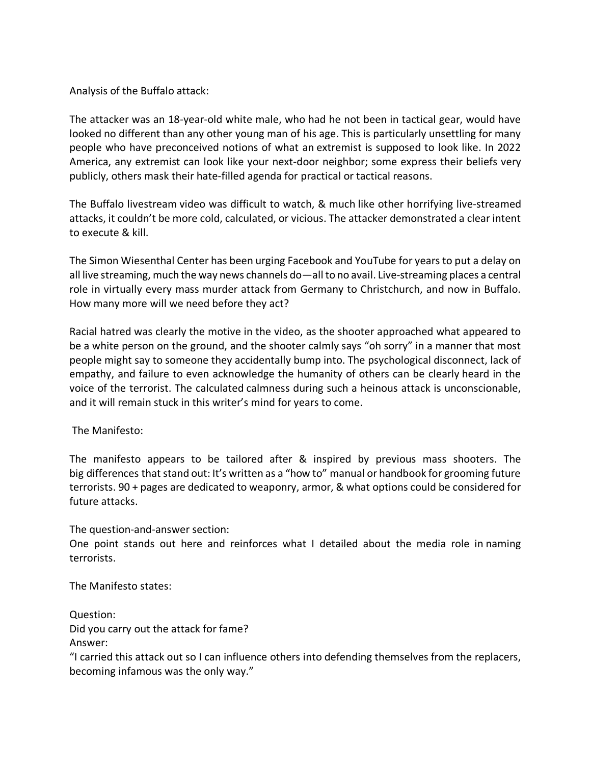Analysis of the Buffalo attack:

The attacker was an 18-year-old white male, who had he not been in tactical gear, would have looked no different than any other young man of his age. This is particularly unsettling for many people who have preconceived notions of what an extremist is supposed to look like. In 2022 America, any extremist can look like your next-door neighbor; some express their beliefs very publicly, others mask their hate-filled agenda for practical or tactical reasons.

The Buffalo livestream video was difficult to watch, & much like other horrifying live-streamed attacks, it couldn't be more cold, calculated, or vicious. The attacker demonstrated a clear intent to execute & kill.

The Simon Wiesenthal Center has been urging Facebook and YouTube for years to put a delay on all live streaming, much the way news channels do—all to no avail. Live-streaming places a central role in virtually every mass murder attack from Germany to Christchurch, and now in Buffalo. How many more will we need before they act?

Racial hatred was clearly the motive in the video, as the shooter approached what appeared to be a white person on the ground, and the shooter calmly says "oh sorry" in a manner that most people might say to someone they accidentally bump into. The psychological disconnect, lack of empathy, and failure to even acknowledge the humanity of others can be clearly heard in the voice of the terrorist. The calculated calmness during such a heinous attack is unconscionable, and it will remain stuck in this writer's mind for years to come.

The Manifesto:

The manifesto appears to be tailored after & inspired by previous mass shooters. The big differences that stand out: It's written as a "how to" manual or handbook for grooming future terrorists. 90 + pages are dedicated to weaponry, armor, & what options could be considered for future attacks.

The question-and-answer section:

One point stands out here and reinforces what I detailed about the media role in naming terrorists.

The Manifesto states:

Question:

Did you carry out the attack for fame? Answer:

"I carried this attack out so I can influence others into defending themselves from the replacers, becoming infamous was the only way."